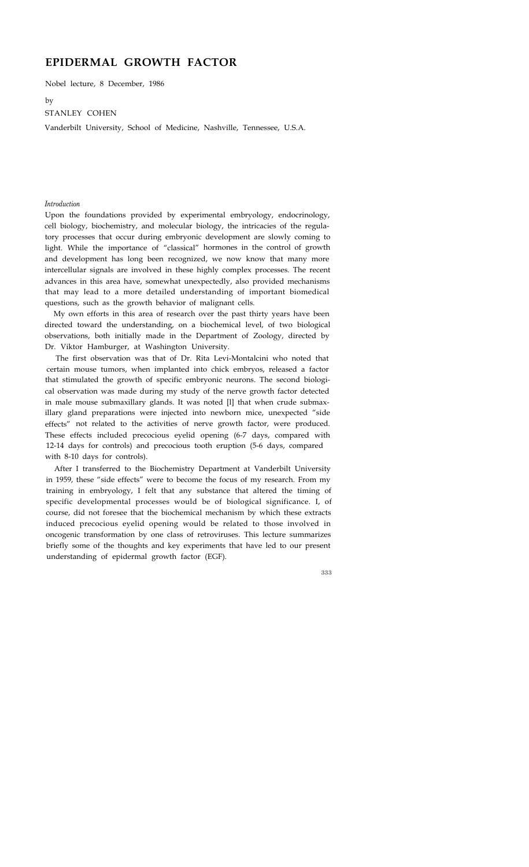# **EPIDERMAL GROWTH FACTOR**

Nobel lecture, 8 December, 1986

by

## STANLEY COHEN

Vanderbilt University, School of Medicine, Nashville, Tennessee, U.S.A.

#### *Introduction*

Upon the foundations provided by experimental embryology, endocrinology, cell biology, biochemistry, and molecular biology, the intricacies of the regulatory processes that occur during embryonic development are slowly coming to light. While the importance of "classical" hormones in the control of growth and development has long been recognized, we now know that many more intercellular signals are involved in these highly complex processes. The recent advances in this area have, somewhat unexpectedly, also provided mechanisms that may lead to a more detailed understanding of important biomedical questions, such as the growth behavior of malignant cells.

My own efforts in this area of research over the past thirty years have been directed toward the understanding, on a biochemical level, of two biological observations, both initially made in the Department of Zoology, directed by Dr. Viktor Hamburger, at Washington University.

The first observation was that of Dr. Rita Levi-Montalcini who noted that certain mouse tumors, when implanted into chick embryos, released a factor that stimulated the growth of specific embryonic neurons. The second biological observation was made during my study of the nerve growth factor detected in male mouse submaxillary glands. It was noted [l] that when crude submaxillary gland preparations were injected into newborn mice, unexpected "side effects" not related to the activities of nerve growth factor, were produced. These effects included precocious eyelid opening (6-7 days, compared with 12-14 days for controls) and precocious tooth eruption (5-6 days, compared with 8-10 days for controls).

After I transferred to the Biochemistry Department at Vanderbilt University in 1959, these "side effects" were to become the focus of my research. From my training in embryology, I felt that any substance that altered the timing of specific developmental processes would be of biological significance. I, of course, did not foresee that the biochemical mechanism by which these extracts induced precocious eyelid opening would be related to those involved in oncogenic transformation by one class of retroviruses. This lecture summarizes briefly some of the thoughts and key experiments that have led to our present understanding of epidermal growth factor (EGF).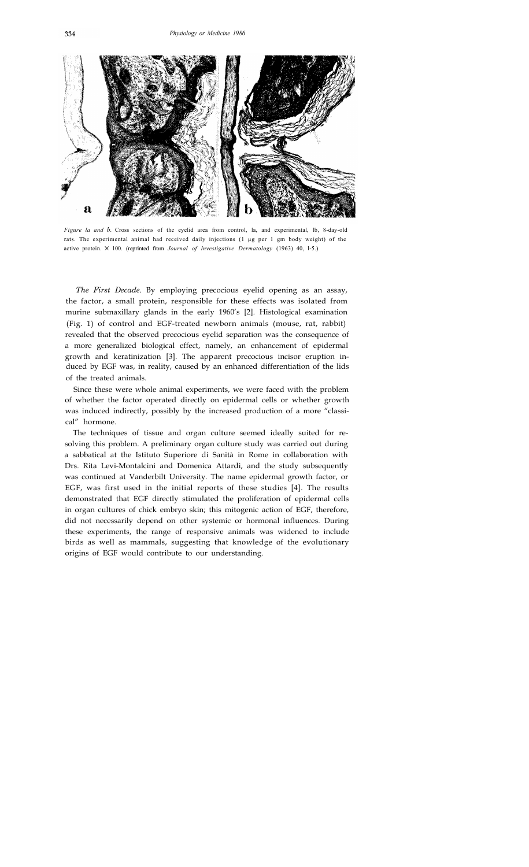

*Figure la and b.* Cross sections of the eyelid area from control, la, and experimental, lb, 8-day-old rats. The experimental animal had received daily injections (1 µg per 1 gm body weight) of the active protein.  $\times$  100. (reprinted from *Journal of Investigative Dermatology* (1963) 40, 1-5.)

*The First Decade.* By employing precocious eyelid opening as an assay, the factor, a small protein, responsible for these effects was isolated from murine submaxillary glands in the early 1960's [2]. Histological examination (Fig. 1) of control and EGF-treated newborn animals (mouse, rat, rabbit) revealed that the observed precocious eyelid separation was the consequence of a more generalized biological effect, namely, an enhancement of epidermal growth and keratinization [3]. The apparent precocious incisor eruption induced by EGF was, in reality, caused by an enhanced differentiation of the lids of the treated animals.

Since these were whole animal experiments, we were faced with the problem of whether the factor operated directly on epidermal cells or whether growth was induced indirectly, possibly by the increased production of a more "classical" hormone.

The techniques of tissue and organ culture seemed ideally suited for resolving this problem. A preliminary organ culture study was carried out during a sabbatical at the Istituto Superiore di Sanità in Rome in collaboration with Drs. Rita Levi-Montalcini and Domenica Attardi, and the study subsequently was continued at Vanderbilt University. The name epidermal growth factor, or EGF, was first used in the initial reports of these studies [4]. The results demonstrated that EGF directly stimulated the proliferation of epidermal cells in organ cultures of chick embryo skin; this mitogenic action of EGF, therefore, did not necessarily depend on other systemic or hormonal influences. During these experiments, the range of responsive animals was widened to include birds as well as mammals, suggesting that knowledge of the evolutionary origins of EGF would contribute to our understanding.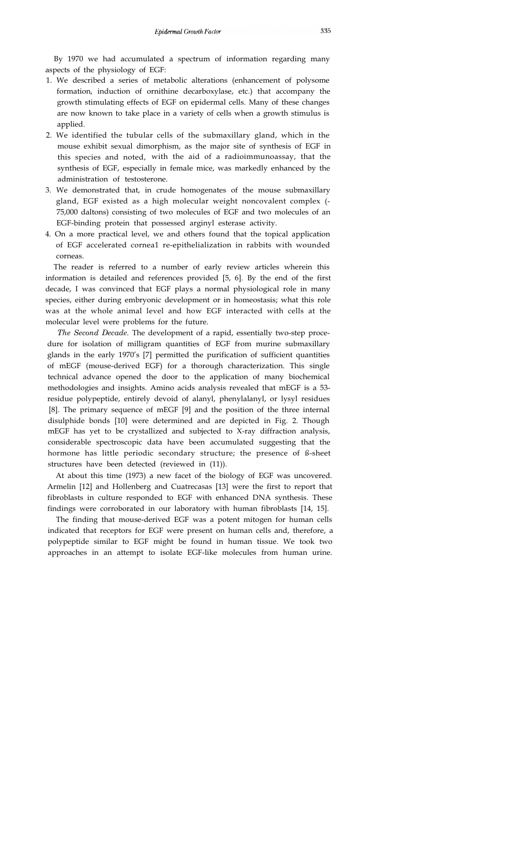By 1970 we had accumulated a spectrum of information regarding many aspects of the physiology of EGF:

- 1. We described a series of metabolic alterations (enhancement of polysome formation, induction of ornithine decarboxylase, etc.) that accompany the growth stimulating effects of EGF on epidermal cells. Many of these changes are now known to take place in a variety of cells when a growth stimulus is applied.
- 2. We identified the tubular cells of the submaxillary gland, which in the mouse exhibit sexual dimorphism, as the major site of synthesis of EGF in this species and noted, with the aid of a radioimmunoassay, that the synthesis of EGF, especially in female mice, was markedly enhanced by the administration of testosterone.
- 3. We demonstrated that, in crude homogenates of the mouse submaxillary gland, EGF existed as a high molecular weight noncovalent complex (- 75,000 daltons) consisting of two molecules of EGF and two molecules of an EGF-binding protein that possessed arginyl esterase activity.
- 4. On a more practical level, we and others found that the topical application of EGF accelerated cornea1 re-epithelialization in rabbits with wounded corneas.

The reader is referred to a number of early review articles wherein this information is detailed and references provided [5, 6]. By the end of the first decade, I was convinced that EGF plays a normal physiological role in many species, either during embryonic development or in homeostasis; what this role was at the whole animal level and how EGF interacted with cells at the molecular level were problems for the future.

*The Second Decade.* The development of a rapid, essentially two-step procedure for isolation of milligram quantities of EGF from murine submaxillary glands in the early 1970's [7] permitted the purification of sufficient quantities of mEGF (mouse-derived EGF) for a thorough characterization. This single technical advance opened the door to the application of many biochemical methodologies and insights. Amino acids analysis revealed that mEGF is a 53 residue polypeptide, entirely devoid of alanyl, phenylalanyl, or lysyl residues [8]. The primary sequence of mEGF [9] and the position of the three internal disulphide bonds [10] were determined and are depicted in Fig. 2. Though mEGF has yet to be crystallized and subjected to X-ray diffraction analysis, considerable spectroscopic data have been accumulated suggesting that the hormone has little periodic secondary structure; the presence of ß-sheet structures have been detected (reviewed in (11)).

At about this time (1973) a new facet of the biology of EGF was uncovered. Armelin [12] and Hollenberg and Cuatrecasas [13] were the first to report that fibroblasts in culture responded to EGF with enhanced DNA synthesis. These findings were corroborated in our laboratory with human fibroblasts [14, 15].

The finding that mouse-derived EGF was a potent mitogen for human cells indicated that receptors for EGF were present on human cells and, therefore, a polypeptide similar to EGF might be found in human tissue. We took two approaches in an attempt to isolate EGF-like molecules from human urine.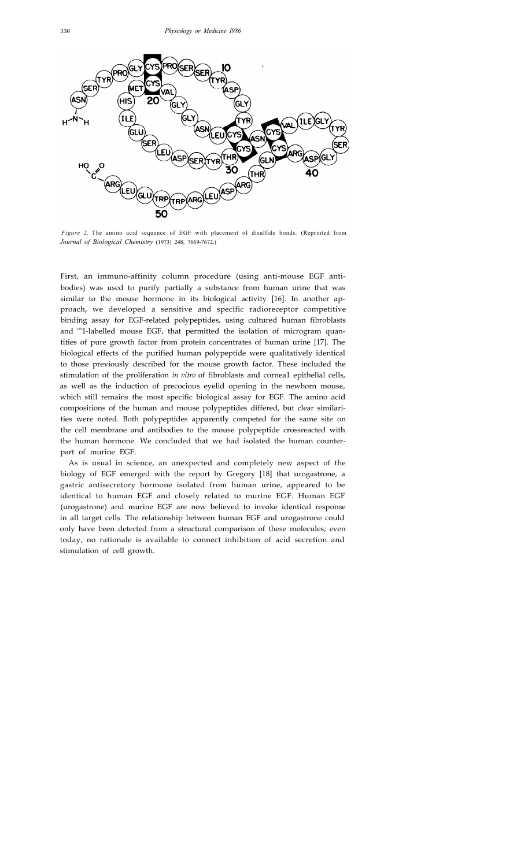

*Figure 2.* The amino acid sequence of EGF with placement of disulfide bonds. (Reprinted from *Journal of Biological Chemistry* (1973) 248, 7669-7672.)

First, an immuno-affinity column procedure (using anti-mouse EGF antibodies) was used to purify partially a substance from human urine that was similar to the mouse hormone in its biological activity [16]. In another approach, we developed a sensitive and specific radioreceptor competitive binding assay for EGF-related polypeptides, using cultured human fibroblasts and  $1251$ -labelled mouse EGF, that permitted the isolation of microgram quantities of pure growth factor from protein concentrates of human urine [17]. The biological effects of the purified human polypeptide were qualitatively identical to those previously described for the mouse growth factor. These included the stimulation of the proliferation *in vitro* of fibroblasts and cornea1 epithelial cells, as well as the induction of precocious eyelid opening in the newborn mouse, which still remains the most specific biological assay for EGF. The amino acid compositions of the human and mouse polypeptides differed, but clear similarities were noted. Both polypeptides apparently competed for the same site on the cell membrane and antibodies to the mouse polypeptide crossreacted with the human hormone. We concluded that we had isolated the human counterpart of murine EGF.

As is usual in science, an unexpected and completely new aspect of the biology of EGF emerged with the report by Gregory [18] that urogastrone, a gastric antisecretory hormone isolated from human urine, appeared to be identical to human EGF and closely related to murine EGF. Human EGF (urogastrone) and murine EGF are now believed to invoke identical response in all target cells. The relationship between human EGF and urogastrone could only have been detected from a structural comparison of these molecules; even today, no rationale is available to connect inhibition of acid secretion and stimulation of cell growth.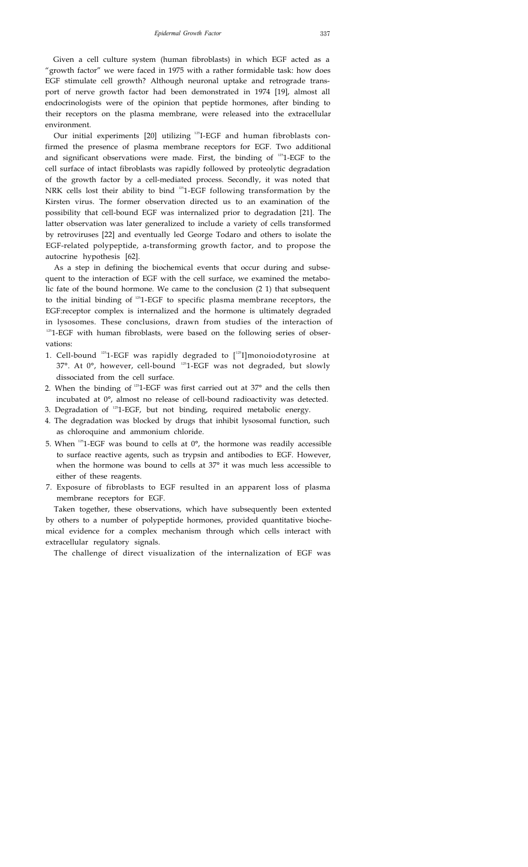Given a cell culture system (human fibroblasts) in which EGF acted as a "growth factor" we were faced in 1975 with a rather formidable task: how does EGF stimulate cell growth? Although neuronal uptake and retrograde transport of nerve growth factor had been demonstrated in 1974 [19], almost all endocrinologists were of the opinion that peptide hormones, after binding to their receptors on the plasma membrane, were released into the extracellular environment.

Our initial experiments [20] utilizing <sup>125</sup>I-EGF and human fibroblasts confirmed the presence of plasma membrane receptors for EGF. Two additional and significant observations were made. First, the binding of <sup>125</sup>1-EGF to the cell surface of intact fibroblasts was rapidly followed by proteolytic degradation of the growth factor by a cell-mediated process. Secondly, it was noted that NRK cells lost their ability to bind <sup>125</sup>1-EGF following transformation by the Kirsten virus. The former observation directed us to an examination of the possibility that cell-bound EGF was internalized prior to degradation [21]. The latter observation was later generalized to include a variety of cells transformed by retroviruses [22] and eventually led George Todaro and others to isolate the EGF-related polypeptide, a-transforming growth factor, and to propose the autocrine hypothesis [62].

As a step in defining the biochemical events that occur during and subsequent to the interaction of EGF with the cell surface, we examined the metabolic fate of the bound hormone. We came to the conclusion (2 1) that subsequent to the initial binding of <sup>125</sup>1-EGF to specific plasma membrane receptors, the EGF:receptor complex is internalized and the hormone is ultimately degraded in lysosomes. These conclusions, drawn from studies of the interaction of  $125$ 1-EGF with human fibroblasts, were based on the following series of observations:

- 1. Cell-bound  $^{125}$ 1-EGF was rapidly degraded to  $[^{125}$ I]monoiodotyrosine at 37°. At 0°, however, cell-bound <sup>125</sup>1-EGF was not degraded, but slowly dissociated from the cell surface.
- 2. When the binding of  $1251$ -EGF was first carried out at 37 $\degree$  and the cells then incubated at 0°, almost no release of cell-bound radioactivity was detected.
- 3. Degradation of <sup>125</sup>1-EGF, but not binding, required metabolic energy.
- 4. The degradation was blocked by drugs that inhibit lysosomal function, such as chloroquine and ammonium chloride.
- 5. When  $125$ 1-EGF was bound to cells at  $0^{\circ}$ , the hormone was readily accessible to surface reactive agents, such as trypsin and antibodies to EGF. However, when the hormone was bound to cells at 37° it was much less accessible to either of these reagents.
- 7. Exposure of fibroblasts to EGF resulted in an apparent loss of plasma membrane receptors for EGF.

Taken together, these observations, which have subsequently been extented by others to a number of polypeptide hormones, provided quantitative biochemical evidence for a complex mechanism through which cells interact with extracellular regulatory signals.

The challenge of direct visualization of the internalization of EGF was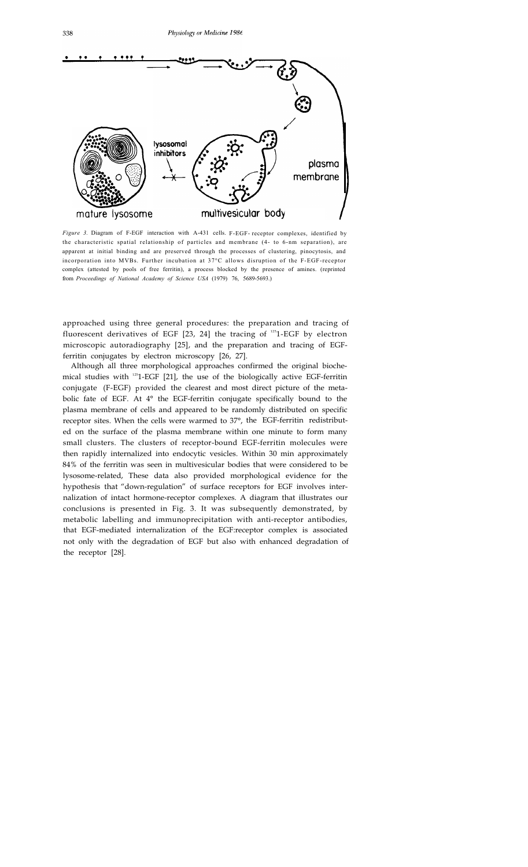

*Figure 3.* Diagram of F-EGF interaction with A-431 cells. F-EGF- receptor complexes, identified by the characteristic spatial relationship of particles and membrane (4- to 6-nm separation), are apparent at initial binding and are preserved through the processes of clustering, pinocytosis, and incorporation into MVBs. Further incubation at 37°C allows disruption of the F-EGF-receptor complex (attested by pools of free ferritin), a process blocked by the presence of amines. (reprinted from *Proceedings of National Academy of Science USA* (1979) 76, 5689-5693.)

approached using three general procedures: the preparation and tracing of fluorescent derivatives of EGF  $[23, 24]$  the tracing of  $^{125}$ 1-EGF by electron microscopic autoradiography [25], and the preparation and tracing of EGFferritin conjugates by electron microscopy [26, 27].

Although all three morphological approaches confirmed the original biochemical studies with  $^{125}$ 1-EGF [21], the use of the biologically active EGF-ferritin conjugate (F-EGF) provided the clearest and most direct picture of the metabolic fate of EGF. At 4° the EGF-ferritin conjugate specifically bound to the plasma membrane of cells and appeared to be randomly distributed on specific receptor sites. When the cells were warmed to 37°, the EGF-ferritin redistributed on the surface of the plasma membrane within one minute to form many small clusters. The clusters of receptor-bound EGF-ferritin molecules were then rapidly internalized into endocytic vesicles. Within 30 min approximately 84% of the ferritin was seen in multivesicular bodies that were considered to be lysosome-related, These data also provided morphological evidence for the hypothesis that "down-regulation" of surface receptors for EGF involves internalization of intact hormone-receptor complexes. A diagram that illustrates our conclusions is presented in Fig. 3. It was subsequently demonstrated, by metabolic labelling and immunoprecipitation with anti-receptor antibodies, that EGF-mediated internalization of the EGF:receptor complex is associated not only with the degradation of EGF but also with enhanced degradation of the receptor [28].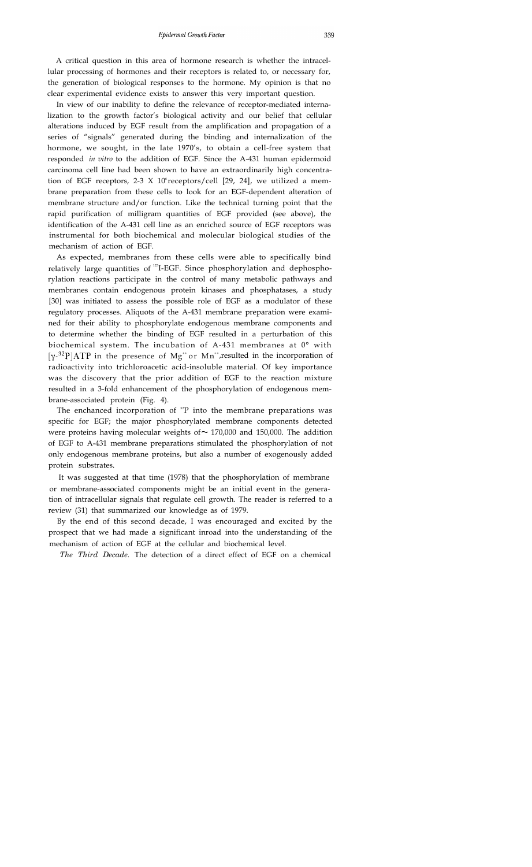A critical question in this area of hormone research is whether the intracellular processing of hormones and their receptors is related to, or necessary for, the generation of biological responses to the hormone. My opinion is that no clear experimental evidence exists to answer this very important question.

In view of our inability to define the relevance of receptor-mediated internalization to the growth factor's biological activity and our belief that cellular alterations induced by EGF result from the amplification and propagation of a series of "signals" generated during the binding and internalization of the hormone, we sought, in the late 1970's, to obtain a cell-free system that responded *in vitro* to the addition of EGF. Since the A-431 human epidermoid carcinoma cell line had been shown to have an extraordinarily high concentration of EGF receptors, 2-3 X 10° receptors/cell [29, 24], we utilized a membrane preparation from these cells to look for an EGF-dependent alteration of membrane structure and/or function. Like the technical turning point that the rapid purification of milligram quantities of EGF provided (see above), the identification of the A-431 cell line as an enriched source of EGF receptors was instrumental for both biochemical and molecular biological studies of the mechanism of action of EGF.

As expected, membranes from these cells were able to specifically bind relatively large quantities of <sup>125</sup>I-EGF. Since phosphorylation and dephosphorylation reactions participate in the control of many metabolic pathways and membranes contain endogenous protein kinases and phosphatases, a study [30] was initiated to assess the possible role of EGF as a modulator of these regulatory processes. Aliquots of the A-431 membrane preparation were examined for their ability to phosphorylate endogenous membrane components and to determine whether the binding of EGF resulted in a perturbation of this biochemical system. The incubation of A-431 membranes at 0° with  $[\gamma^{32}P]ATP$  in the presence of Mg<sup>++</sup> or Mn<sup>++</sup>,resulted in the incorporation of radioactivity into trichloroacetic acid-insoluble material. Of key importance was the discovery that the prior addition of EGF to the reaction mixture resulted in a 3-fold enhancement of the phosphorylation of endogenous membrane-associated protein (Fig. 4).

The enchanced incorporation of  ${}^{32}P$  into the membrane preparations was specific for EGF; the major phosphorylated membrane components detected were proteins having molecular weights of  $\sim$  170,000 and 150,000. The addition of EGF to A-431 membrane preparations stimulated the phosphorylation of not only endogenous membrane proteins, but also a number of exogenously added protein substrates.

It was suggested at that time (1978) that the phosphorylation of membrane or membrane-associated components might be an initial event in the generation of intracellular signals that regulate cell growth. The reader is referred to a review (31) that summarized our knowledge as of 1979.

By the end of this second decade, I was encouraged and excited by the prospect that we had made a significant inroad into the understanding of the mechanism of action of EGF at the cellular and biochemical level.

*The Third Decade.* The detection of a direct effect of EGF on a chemical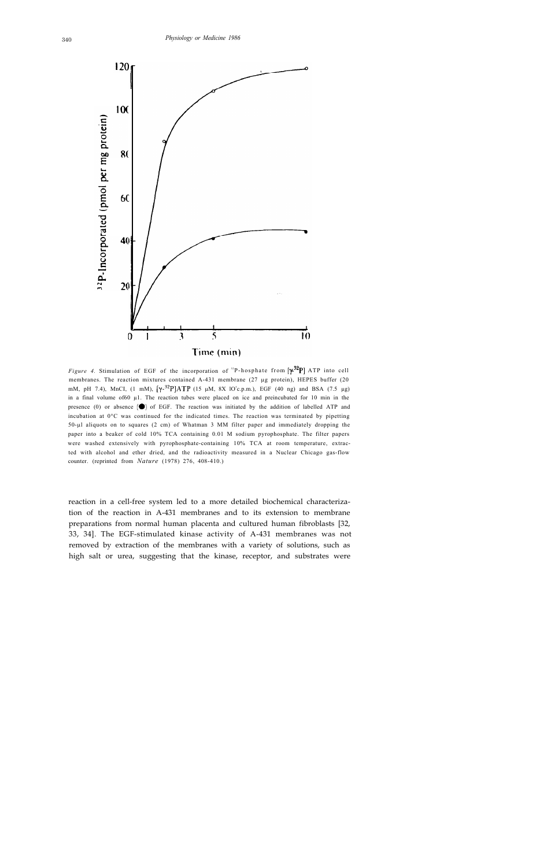

*Figure 4.* Stimulation of EGF of the incorporation of <sup>32</sup>P-hosphate from  $\left[\gamma^{32}P\right]$  ATP into cell membranes. The reaction mixtures contained A-431 membrane (27 µg protein), HEPES buffer (20 mM, pH 7.4), MnCI, (1 mM),  $[\gamma^{32}P]ATP$  (15 µM, 8X 1O<sup>5</sup>c.p.m.), EGF (40 ng) and BSA (7.5 µg) in a final volume of60  $\mu$ 1. The reaction tubes were placed on ice and preincubated for 10 min in the presence  $(0)$  or absence  $($ <sup>o</sup> $)$  of EGF. The reaction was initiated by the addition of labelled ATP and incubation at 0°C was continued for the indicated times. The reaction was terminated by pipetting 50-µl aliquots on to squares (2 cm) of Whatman 3 MM filter paper and immediately dropping the paper into a beaker of cold 10% TCA containing 0.01 M sodium pyrophosphate. The filter papers were washed extensively with pyrophosphate-containing 10% TCA at room temperature, extracted with alcohol and ether dried, and the radioactivity measured in a Nuclear Chicago gas-flow counter. (reprinted from *Nature* (1978) 276, 408-410.)

reaction in a cell-free system led to a more detailed biochemical characterization of the reaction in A-431 membranes and to its extension to membrane preparations from normal human placenta and cultured human fibroblasts [32, 33, 34]. The EGF-stimulated kinase activity of A-431 membranes was not removed by extraction of the membranes with a variety of solutions, such as high salt or urea, suggesting that the kinase, receptor, and substrates were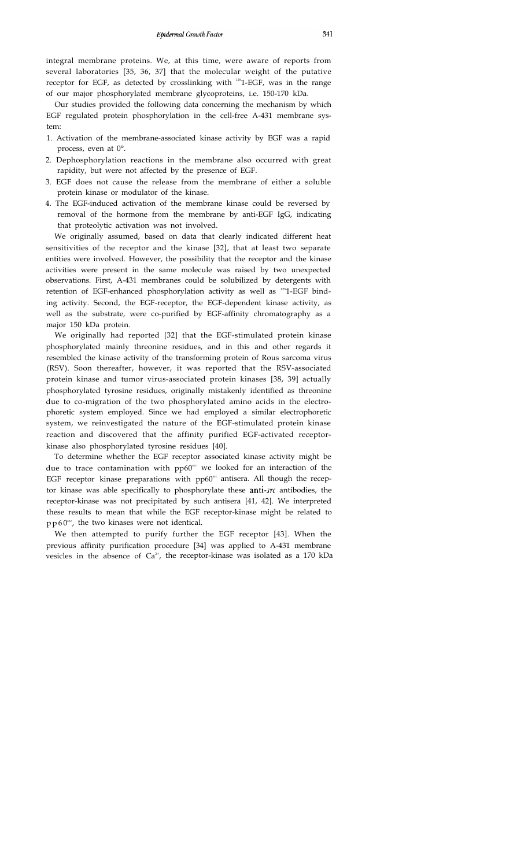integral membrane proteins. We, at this time, were aware of reports from several laboratories [35, 36, 37] that the molecular weight of the putative receptor for EGF, as detected by crosslinking with  $^{125}$ 1-EGF, was in the range of our major phosphorylated membrane glycoproteins, i.e. 150-170 kDa.

Our studies provided the following data concerning the mechanism by which EGF regulated protein phosphorylation in the cell-free A-431 membrane system:

- 1. Activation of the membrane-associated kinase activity by EGF was a rapid process, even at 0°.
- 2. Dephosphorylation reactions in the membrane also occurred with great rapidity, but were not affected by the presence of EGF.
- 3. EGF does not cause the release from the membrane of either a soluble protein kinase or modulator of the kinase.
- 4. The EGF-induced activation of the membrane kinase could be reversed by removal of the hormone from the membrane by anti-EGF IgG, indicating that proteolytic activation was not involved.

We originally assumed, based on data that clearly indicated different heat sensitivities of the receptor and the kinase [32], that at least two separate entities were involved. However, the possibility that the receptor and the kinase activities were present in the same molecule was raised by two unexpected observations. First, A-431 membranes could be solubilized by detergents with retention of EGF-enhanced phosphorylation activity as well as <sup>125</sup>1-EGF binding activity. Second, the EGF-receptor, the EGF-dependent kinase activity, as well as the substrate, were co-purified by EGF-affinity chromatography as a major 150 kDa protein.

We originally had reported [32] that the EGF-stimulated protein kinase phosphorylated mainly threonine residues, and in this and other regards it resembled the kinase activity of the transforming protein of Rous sarcoma virus (RSV). Soon thereafter, however, it was reported that the RSV-associated protein kinase and tumor virus-associated protein kinases [38, 39] actually phosphorylated tyrosine residues, originally mistakenly identified as threonine due to co-migration of the two phosphorylated amino acids in the electrophoretic system employed. Since we had employed a similar electrophoretic system, we reinvestigated the nature of the EGF-stimulated protein kinase reaction and discovered that the affinity purified EGF-activated receptorkinase also phosphorylated tyrosine residues [40].

To determine whether the EGF receptor associated kinase activity might be due to trace contamination with  $pp60<sup>sec</sup>$  we looked for an interaction of the EGF receptor kinase preparations with  $pp60<sup>sec</sup>$  antisera. All though the receptor kinase was able specifically to phosphorylate these anti- $src$  antibodies, the receptor-kinase was not precipitated by such antisera [41, 42]. We interpreted these results to mean that while the EGF receptor-kinase might be related to  $p p 60$ <sup>src</sup>, the two kinases were not identical.

We then attempted to purify further the EGF receptor [43]. When the previous affinity purification procedure [34] was applied to A-431 membrane vesicles in the absence of Ca<sup>2+</sup>, the receptor-kinase was isolated as a 170 kDa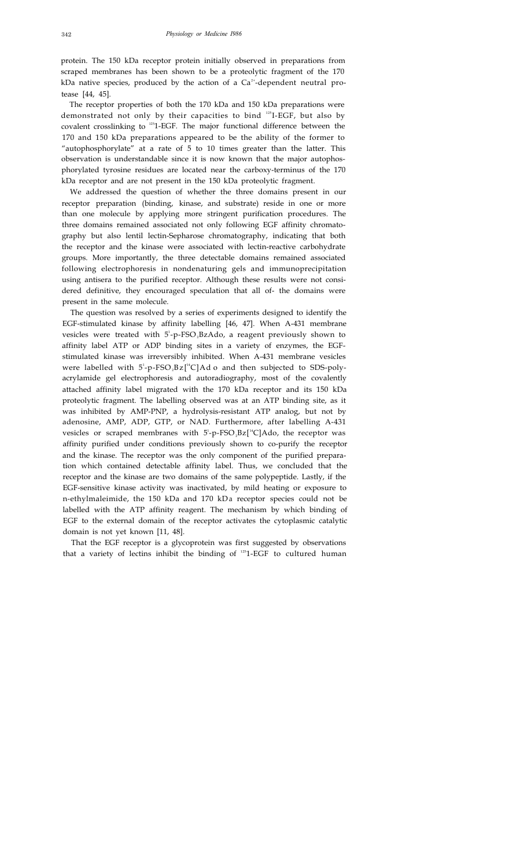protein. The 150 kDa receptor protein initially observed in preparations from scraped membranes has been shown to be a proteolytic fragment of the 170 kDa native species, produced by the action of a  $Ca<sup>2+</sup>$ -dependent neutral protease [44, 45].

The receptor properties of both the 170 kDa and 150 kDa preparations were demonstrated not only by their capacities to bind 125 I-EGF, but also by covalent crosslinking to  $125$ -EGF. The major functional difference between the 170 and 150 kDa preparations appeared to be the ability of the former to "autophosphorylate" at a rate of 5 to 10 times greater than the latter. This observation is understandable since it is now known that the major autophosphorylated tyrosine residues are located near the carboxy-terminus of the 170 kDa receptor and are not present in the 150 kDa proteolytic fragment.

We addressed the question of whether the three domains present in our receptor preparation (binding, kinase, and substrate) reside in one or more than one molecule by applying more stringent purification procedures. The three domains remained associated not only following EGF affinity chromatography but also lentil lectin-Sepharose chromatography, indicating that both the receptor and the kinase were associated with lectin-reactive carbohydrate groups. More importantly, the three detectable domains remained associated following electrophoresis in nondenaturing gels and immunoprecipitation using antisera to the purified receptor. Although these results were not considered definitive, they encouraged speculation that all of- the domains were present in the same molecule.

The question was resolved by a series of experiments designed to identify the EGF-stimulated kinase by affinity labelling [46, 47]. When A-431 membrane vesicles were treated with 5<sup>1</sup>-p-FSO<sub>2</sub>BzAdo, a reagent previously shown to affinity label ATP or ADP binding sites in a variety of enzymes, the EGFstimulated kinase was irreversibly inhibited. When A-431 membrane vesicles were labelled with  $5^{\text{!-}}$ p-FSO<sub>2</sub>Bz[<sup>14</sup>C]Ado and then subjected to SDS-polyacrylamide gel electrophoresis and autoradiography, most of the covalently attached affinity label migrated with the 170 kDa receptor and its 150 kDa proteolytic fragment. The labelling observed was at an ATP binding site, as it was inhibited by AMP-PNP, a hydrolysis-resistant ATP analog, but not by adenosine, AMP, ADP, GTP, or NAD. Furthermore, after labelling A-431 vesicles or scraped membranes with  $5$ <sup>1</sup>-p-FSO<sub>2</sub>Bz[<sup>14</sup>C]Ado, the receptor was affinity purified under conditions previously shown to co-purify the receptor and the kinase. The receptor was the only component of the purified preparation which contained detectable affinity label. Thus, we concluded that the receptor and the kinase are two domains of the same polypeptide. Lastly, if the EGF-sensitive kinase activity was inactivated, by mild heating or exposure to n-ethylmaleimide, the 150 kDa and 170 kDa receptor species could not be labelled with the ATP affinity reagent. The mechanism by which binding of EGF to the external domain of the receptor activates the cytoplasmic catalytic domain is not yet known [11, 48].

That the EGF receptor is a glycoprotein was first suggested by observations that a variety of lectins inhibit the binding of  $^{125}$ 1-EGF to cultured human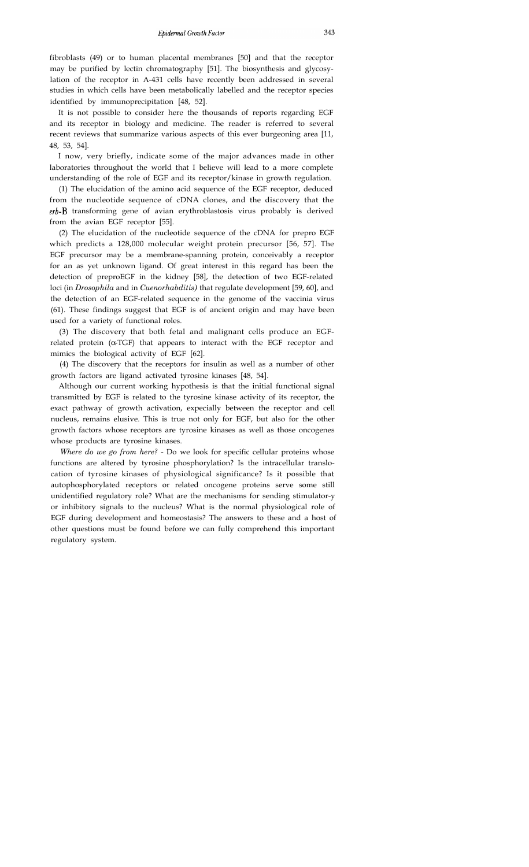fibroblasts (49) or to human placental membranes [50] and that the receptor may be purified by lectin chromatography [51]. The biosynthesis and glycosylation of the receptor in A-431 cells have recently been addressed in several studies in which cells have been metabolically labelled and the receptor species identified by immunoprecipitation [48, 52].

It is not possible to consider here the thousands of reports regarding EGF and its receptor in biology and medicine. The reader is referred to several recent reviews that summarize various aspects of this ever burgeoning area [11, 48, 53, 54].

I now, very briefly, indicate some of the major advances made in other laboratories throughout the world that I believe will lead to a more complete understanding of the role of EGF and its receptor/kinase in growth regulation.

(1) The elucidation of the amino acid sequence of the EGF receptor, deduced from the nucleotide sequence of cDNA clones, and the discovery that the  $erb-B$  transforming gene of avian erythroblastosis virus probably is derived from the avian EGF receptor [55].

(2) The elucidation of the nucleotide sequence of the cDNA for prepro EGF which predicts a 128,000 molecular weight protein precursor [56, 57]. The EGF precursor may be a membrane-spanning protein, conceivably a receptor for an as yet unknown ligand. Of great interest in this regard has been the detection of preproEGF in the kidney [58], the detection of two EGF-related loci (in *Drosophila* and in *Cuenorhabditis)* that regulate development [59, 60], and the detection of an EGF-related sequence in the genome of the vaccinia virus (61). These findings suggest that EGF is of ancient origin and may have been used for a variety of functional roles.

(3) The discovery that both fetal and malignant cells produce an EGFrelated protein  $(\alpha$ -TGF) that appears to interact with the EGF receptor and mimics the biological activity of EGF [62].

(4) The discovery that the receptors for insulin as well as a number of other growth factors are ligand activated tyrosine kinases [48, 54].

Although our current working hypothesis is that the initial functional signal transmitted by EGF is related to the tyrosine kinase activity of its receptor, the exact pathway of growth activation, expecially between the receptor and cell nucleus, remains elusive. This is true not only for EGF, but also for the other growth factors whose receptors are tyrosine kinases as well as those oncogenes whose products are tyrosine kinases.

*Where do we go from here?* - Do we look for specific cellular proteins whose functions are altered by tyrosine phosphorylation? Is the intracellular translocation of tyrosine kinases of physiological significance? Is it possible that autophosphorylated receptors or related oncogene proteins serve some still unidentified regulatory role? What are the mechanisms for sending stimulator-y or inhibitory signals to the nucleus? What is the normal physiological role of EGF during development and homeostasis? The answers to these and a host of other questions must be found before we can fully comprehend this important regulatory system.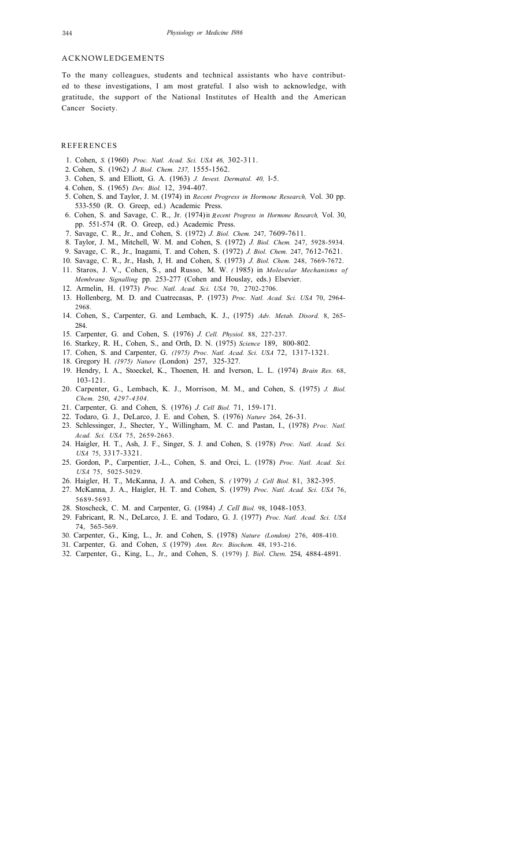### ACKNOWLEDGEMENTS

To the many colleagues, students and technical assistants who have contributed to these investigations, I am most grateful. I also wish to acknowledge, with gratitude, the support of the National Institutes of Health and the American Cancer Society.

#### REFERENCES

- 1. Cohen, *S.* (1960) *Proc. Natl. Acad. Sci. USA 46,* 302-311.
- 2. Cohen, S. (1962) *J. Biol. Chem. 237,* 1555-1562.
- 3. Cohen, S. and Elliott, G. A. (1963) *J. Invest. Dermatol. 40,* l-5.
- 4. Cohen, S. (1965) *Dev. Biol.* 12, 394-407.
- 5. Cohen, S. and Taylor, J. M. (1974) in *Recent Progress in Hormone Research,* Vol. 30 pp. 533-550 (R. O. Greep, ed.) Academic Press.
- 6. Cohen, S. and Savage, C. R., Jr. (1974) in *Recent Progress in Hormone Research,* Vol. 30, pp. 551-574 (R. O. Greep, ed.) Academic Press.
- 7. Savage, C. R., Jr., and Cohen, S. (1972) *J. Biol. Chem.* 247, 7609-7611.
- 8. Taylor, J. M., Mitchell, W. M. and Cohen, S. (1972) *J. Biol. Chem.* 247, 5928-5934.
- 9. Savage, C. R., Jr., Inagami, T. and Cohen, S. (1972) *J. Biol. Chem.* 247, 7612-7621.
- 10. Savage, C. R., Jr., Hash, J, H. and Cohen, S. (1973) *J. Biol. Chem.* 248, 7669-7672.
- 11. Staros, J. V., Cohen, S., and Russo, M. W. *(* 1985) in *Molecular Mechanisms of Membrane Signalling* pp. 253-277 (Cohen and Houslay, eds.) Elsevier.
- 12. Armelin, H. (1973) *Proc. Natl. Acad. Sci. USA* 70, 2702-2706.
- 13. Hollenberg, M. D. and Cuatrecasas, P. (1973) *Proc. Natl. Acad. Sci. USA* 70, 2964- 2968.
- 14. Cohen, S., Carpenter, G. and Lembach, K. J., (1975) *Adv. Metab. Disord.* 8, 265- 284.
- 15. Carpenter, G. and Cohen, S. (1976) *J. Cell. Physiol.* 88, 227-237.
- 16. Starkey, R. H., Cohen, S., and Orth, D. N. (1975) *Science* 189, 800-802.
- 17. Cohen, S. and Carpenter, G. *(1975) Proc. Natl. Acad. Sci. USA* 72, 1317-1321.
- 18. Gregory H. *(1975) Nature* (London) 257, 325-327.
- 19. Hendry, I. A., Stoeckel, K., Thoenen, H. and Iverson, L. L. (1974) *Brain Res.* 68, 103-121.
- 20. Carpenter, G., Lembach, K. J., Morrison, M. M., and Cohen, S. (1975) *J. Biol. Chem.* 250, *4297-4304.*
- 21. Carpenter, G. and Cohen, S. (1976) *J. Cell Biol.* 71, 159-171.
- 22. Todaro, G. J., DeLarco, J. E. and Cohen, S. (1976) *Nature* 264, 26-31.
- 23. Schlessinger, J., Shecter, Y., Willingham, M. C. and Pastan, I., (1978) *Proc. Natl. Acad. Sci. USA* 75, 2659-2663.
- 24. Haigler, H. T., Ash, J. F., Singer, S. J. and Cohen, S. (1978) *Proc. Natl. Acad. Sci. USA* 75, 3317-3321.
- 25. Gordon, P., Carpentier, J.-L., Cohen, S. and Orci, L. (1978) *Proc. Natl. Acad. Sci. USA* 75, 5025-5029.
- 26. Haigler, H. T., McKanna, J. A. and Cohen, S. *(* 1979) *J. Cell Biol.* 81, 382-395.
- 27. McKanna, J. A., Haigler, H. T. and Cohen, S. (1979) *Proc. Natl. Acad. Sci. USA* 76, 5689-5693.
- 28. Stoscheck, C. M. and Carpenter, G. (1984) *J. Cell Biol.* 98, 1048-1053.
- 29. Fabricant, R. N., DeLarco, J. E. and Todaro, G. J. (1977) *Proc. Natl. Acad. Sci. USA* 74, 565-569.
- 30. Carpenter, G., King, L., Jr. and Cohen, S. (1978) *Nature (London)* 276, 408-410.
- 31. Carpenter, G. and Cohen, *S.* (1979) *Ann. Rev. Biochem.* 48, 193-216.
- 32. Carpenter, G., King, L., Jr., and Cohen, S. (1979) *J. Biol. Chem.* 254, 4884-4891.